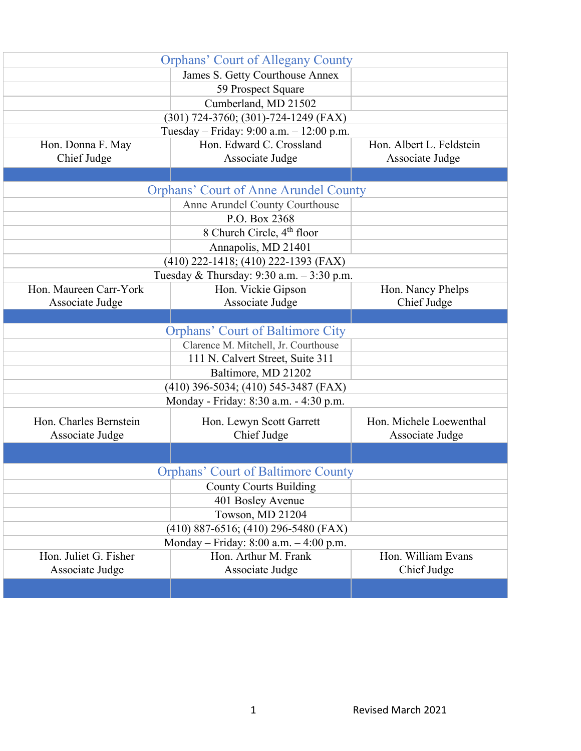|                        | <b>Orphans' Court of Allegany County</b>                 |                          |
|------------------------|----------------------------------------------------------|--------------------------|
|                        | James S. Getty Courthouse Annex                          |                          |
|                        | 59 Prospect Square                                       |                          |
|                        | Cumberland, MD 21502                                     |                          |
|                        | (301) 724-3760; (301)-724-1249 (FAX)                     |                          |
|                        | Tuesday - Friday: 9:00 a.m. - 12:00 p.m.                 |                          |
| Hon. Donna F. May      | Hon. Edward C. Crossland                                 | Hon. Albert L. Feldstein |
| Chief Judge            | Associate Judge                                          | Associate Judge          |
|                        |                                                          |                          |
|                        | <b>Orphans' Court of Anne Arundel County</b>             |                          |
|                        | Anne Arundel County Courthouse                           |                          |
|                        | P.O. Box 2368                                            |                          |
|                        | 8 Church Circle, 4 <sup>th</sup> floor                   |                          |
|                        | Annapolis, MD 21401                                      |                          |
|                        | (410) 222-1418; (410) 222-1393 (FAX)                     |                          |
|                        | Tuesday & Thursday: 9:30 a.m. - 3:30 p.m.                |                          |
| Hon. Maureen Carr-York | Hon. Vickie Gipson                                       | Hon. Nancy Phelps        |
| Associate Judge        | Associate Judge                                          | Chief Judge              |
|                        |                                                          |                          |
|                        | <b>Orphans' Court of Baltimore City</b>                  |                          |
|                        | Clarence M. Mitchell, Jr. Courthouse                     |                          |
|                        | 111 N. Calvert Street, Suite 311                         |                          |
|                        | Baltimore, MD 21202                                      |                          |
|                        | (410) 396-5034; (410) 545-3487 (FAX)                     |                          |
|                        | Monday - Friday: 8:30 a.m. - 4:30 p.m.                   |                          |
| Hon. Charles Bernstein | Hon. Lewyn Scott Garrett                                 | Hon. Michele Loewenthal  |
| Associate Judge        | Chief Judge                                              | Associate Judge          |
|                        |                                                          |                          |
|                        | <b>Orphans' Court of Baltimore County</b>                |                          |
|                        |                                                          |                          |
|                        | <b>County Courts Building</b>                            |                          |
|                        | 401 Bosley Avenue                                        |                          |
|                        | Towson, MD 21204<br>(410) 887-6516; (410) 296-5480 (FAX) |                          |
|                        | Monday - Friday: 8:00 a.m. - 4:00 p.m.                   |                          |
| Hon. Juliet G. Fisher  | Hon. Arthur M. Frank                                     | Hon. William Evans       |
| Associate Judge        | Associate Judge                                          | Chief Judge              |
|                        |                                                          |                          |
|                        |                                                          |                          |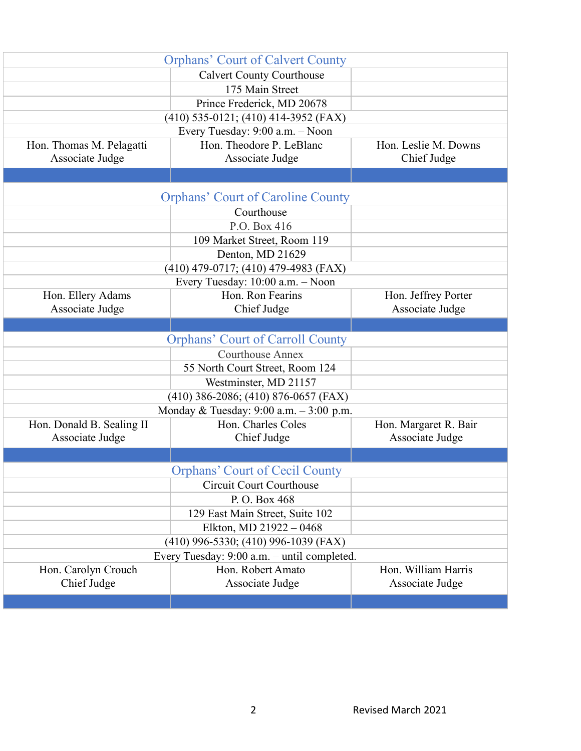|                           | <b>Orphans' Court of Calvert County</b>     |                       |
|---------------------------|---------------------------------------------|-----------------------|
|                           | <b>Calvert County Courthouse</b>            |                       |
|                           | 175 Main Street                             |                       |
|                           | Prince Frederick, MD 20678                  |                       |
|                           | $(410)$ 535-0121; $(410)$ 414-3952 (FAX)    |                       |
|                           | Every Tuesday: 9:00 a.m. - Noon             |                       |
| Hon. Thomas M. Pelagatti  | Hon. Theodore P. LeBlanc                    | Hon. Leslie M. Downs  |
| Associate Judge           | Associate Judge                             | Chief Judge           |
|                           |                                             |                       |
|                           | <b>Orphans' Court of Caroline County</b>    |                       |
|                           | Courthouse                                  |                       |
|                           | P.O. Box 416                                |                       |
|                           | 109 Market Street, Room 119                 |                       |
|                           | Denton, MD 21629                            |                       |
|                           | (410) 479-0717; (410) 479-4983 (FAX)        |                       |
|                           | Every Tuesday: 10:00 a.m. - Noon            |                       |
| Hon. Ellery Adams         | Hon. Ron Fearins                            | Hon. Jeffrey Porter   |
| Associate Judge           | Chief Judge                                 | Associate Judge       |
|                           |                                             |                       |
|                           |                                             |                       |
|                           | <b>Orphans' Court of Carroll County</b>     |                       |
|                           | <b>Courthouse Annex</b>                     |                       |
|                           | 55 North Court Street, Room 124             |                       |
|                           | Westminster, MD 21157                       |                       |
|                           | $(410)$ 386-2086; $(410)$ 876-0657 (FAX)    |                       |
|                           | Monday & Tuesday: $9:00$ a.m. $-3:00$ p.m.  |                       |
| Hon. Donald B. Sealing II | Hon. Charles Coles                          | Hon. Margaret R. Bair |
| Associate Judge           | Chief Judge                                 | Associate Judge       |
|                           |                                             |                       |
|                           | <b>Orphans' Court of Cecil County</b>       |                       |
|                           | <b>Circuit Court Courthouse</b>             |                       |
|                           | P.O. Box 468                                |                       |
|                           | 129 East Main Street, Suite 102             |                       |
|                           | Elkton, MD 21922 - 0468                     |                       |
|                           | (410) 996-5330; (410) 996-1039 (FAX)        |                       |
|                           | Every Tuesday: 9:00 a.m. - until completed. |                       |
| Hon. Carolyn Crouch       | Hon. Robert Amato                           | Hon. William Harris   |
| Chief Judge               | Associate Judge                             | Associate Judge       |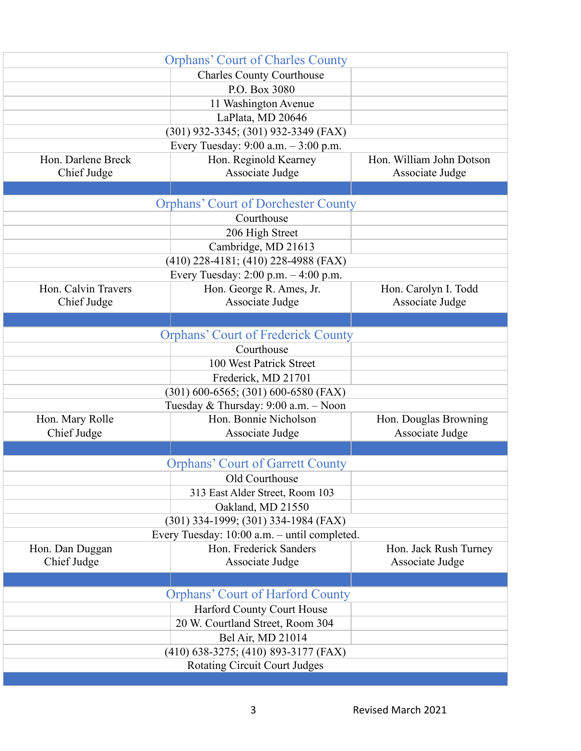|                     | <b>Orphans' Court of Charles County</b>      |                          |
|---------------------|----------------------------------------------|--------------------------|
|                     | <b>Charles County Courthouse</b>             |                          |
|                     | P.O. Box 3080                                |                          |
|                     | 11 Washington Avenue                         |                          |
|                     | LaPlata, MD 20646                            |                          |
|                     | (301) 932-3345; (301) 932-3349 (FAX)         |                          |
|                     | Every Tuesday: 9:00 a.m. - 3:00 p.m.         |                          |
| Hon. Darlene Breck  | Hon. Reginold Kearney                        | Hon. William John Dotson |
| Chief Judge         | Associate Judge                              | Associate Judge          |
|                     |                                              |                          |
|                     | <b>Orphans' Court of Dorchester County</b>   |                          |
|                     | Courthouse                                   |                          |
|                     | 206 High Street                              |                          |
|                     | Cambridge, MD 21613                          |                          |
|                     | (410) 228-4181; (410) 228-4988 (FAX)         |                          |
|                     | Every Tuesday: 2:00 p.m. - 4:00 p.m.         |                          |
| Hon. Calvin Travers | Hon. George R. Ames, Jr.                     | Hon. Carolyn I. Todd     |
| Chief Judge         | Associate Judge                              | Associate Judge          |
|                     |                                              |                          |
|                     | <b>Orphans' Court of Frederick County</b>    |                          |
|                     | Courthouse                                   |                          |
|                     | 100 West Patrick Street                      |                          |
|                     | Frederick, MD 21701                          |                          |
|                     | $(301)$ 600-6565; (301) 600-6580 (FAX)       |                          |
|                     | Tuesday & Thursday: 9:00 a.m. - Noon         |                          |
| Hon. Mary Rolle     | Hon. Bonnie Nicholson                        | Hon. Douglas Browning    |
| Chief Judge         | Associate Judge                              | Associate Judge          |
|                     |                                              |                          |
|                     | <b>Orphans' Court of Garrett County</b>      |                          |
|                     | Old Courthouse                               |                          |
|                     | 313 East Alder Street, Room 103              |                          |
|                     | Oakland, MD 21550                            |                          |
|                     | (301) 334-1999; (301) 334-1984 (FAX)         |                          |
|                     | Every Tuesday: 10:00 a.m. - until completed. |                          |
| Hon. Dan Duggan     | Hon. Frederick Sanders                       | Hon. Jack Rush Turney    |
| Chief Judge         | Associate Judge                              | Associate Judge          |
|                     |                                              |                          |
|                     | <b>Orphans' Court of Harford County</b>      |                          |
|                     | Harford County Court House                   |                          |
|                     | 20 W. Courtland Street, Room 304             |                          |
|                     | Bel Air, MD 21014                            |                          |
|                     | (410) 638-3275; (410) 893-3177 (FAX)         |                          |
|                     | <b>Rotating Circuit Court Judges</b>         |                          |
|                     |                                              |                          |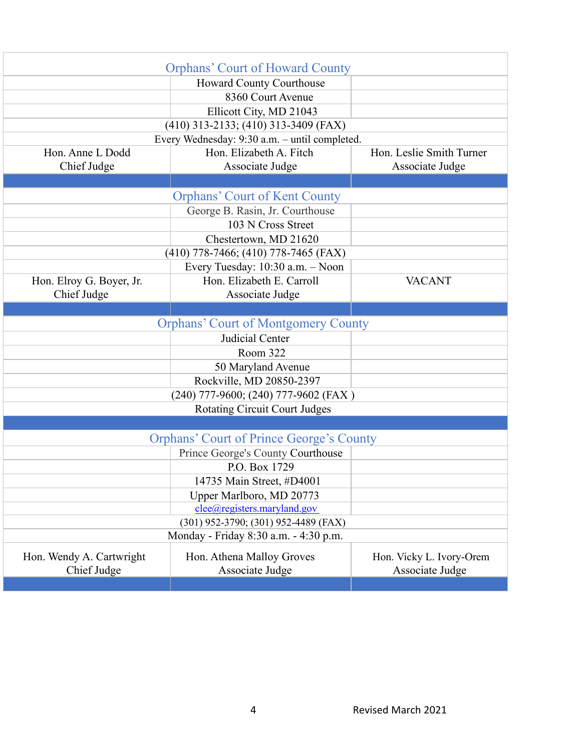|                                               | <b>Orphans' Court of Howard County</b>          |                          |  |
|-----------------------------------------------|-------------------------------------------------|--------------------------|--|
|                                               | <b>Howard County Courthouse</b>                 |                          |  |
|                                               | 8360 Court Avenue                               |                          |  |
|                                               | Ellicott City, MD 21043                         |                          |  |
|                                               | $(410)$ 313-2133; $(410)$ 313-3409 (FAX)        |                          |  |
| Every Wednesday: 9:30 a.m. - until completed. |                                                 |                          |  |
| Hon. Anne L Dodd                              | Hon. Elizabeth A. Fitch                         | Hon. Leslie Smith Turner |  |
| Chief Judge                                   | Associate Judge                                 | Associate Judge          |  |
|                                               |                                                 |                          |  |
|                                               | <b>Orphans' Court of Kent County</b>            |                          |  |
|                                               | George B. Rasin, Jr. Courthouse                 |                          |  |
|                                               | 103 N Cross Street                              |                          |  |
|                                               | Chestertown, MD 21620                           |                          |  |
|                                               | $(410)$ 778-7466; $(410)$ 778-7465 (FAX)        |                          |  |
|                                               | Every Tuesday: 10:30 a.m. - Noon                |                          |  |
| Hon. Elroy G. Boyer, Jr.                      | Hon. Elizabeth E. Carroll                       | <b>VACANT</b>            |  |
| Chief Judge                                   | Associate Judge                                 |                          |  |
|                                               |                                                 |                          |  |
|                                               | <b>Orphans' Court of Montgomery County</b>      |                          |  |
|                                               | Judicial Center                                 |                          |  |
|                                               | Room 322                                        |                          |  |
|                                               | 50 Maryland Avenue                              |                          |  |
|                                               | Rockville, MD 20850-2397                        |                          |  |
|                                               | (240) 777-9600; (240) 777-9602 (FAX)            |                          |  |
| <b>Rotating Circuit Court Judges</b>          |                                                 |                          |  |
|                                               |                                                 |                          |  |
|                                               | <b>Orphans' Court of Prince George's County</b> |                          |  |
|                                               | Prince George's County Courthouse               |                          |  |
|                                               | P.O. Box 1729                                   |                          |  |
|                                               | 14735 Main Street, #D4001                       |                          |  |
|                                               | Upper Marlboro, MD 20773                        |                          |  |
|                                               | clee@registers.maryland.gov                     |                          |  |
|                                               | (301) 952-3790; (301) 952-4489 (FAX)            |                          |  |
| Monday - Friday 8:30 a.m. - 4:30 p.m.         |                                                 |                          |  |
| Hon. Wendy A. Cartwright                      | Hon. Athena Malloy Groves                       | Hon. Vicky L. Ivory-Orem |  |
| Chief Judge                                   | Associate Judge                                 | Associate Judge          |  |
|                                               |                                                 |                          |  |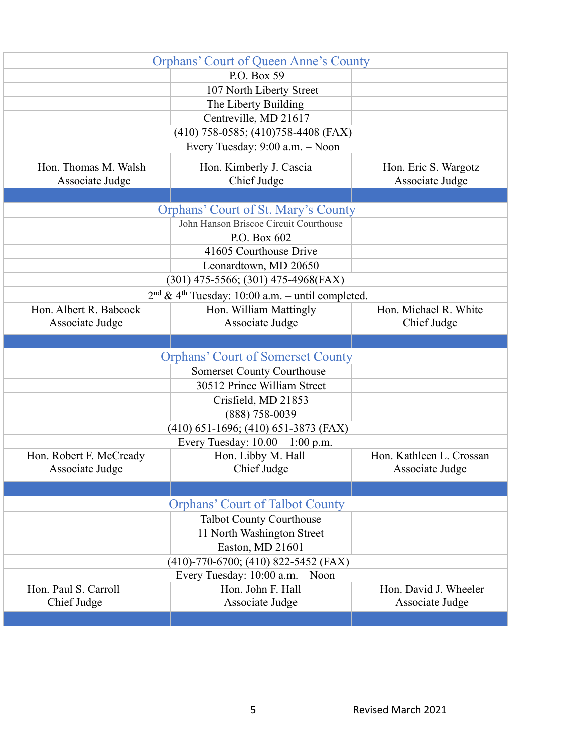| <b>Orphans' Court of Queen Anne's County</b> |                                                                |                                          |
|----------------------------------------------|----------------------------------------------------------------|------------------------------------------|
|                                              | P.O. Box 59                                                    |                                          |
|                                              | 107 North Liberty Street                                       |                                          |
|                                              | The Liberty Building                                           |                                          |
|                                              | Centreville, MD 21617                                          |                                          |
|                                              | $(410)$ 758-0585; $(410)$ 758-4408 (FAX)                       |                                          |
|                                              | Every Tuesday: 9:00 a.m. - Noon                                |                                          |
| Hon. Thomas M. Walsh                         | Hon. Kimberly J. Cascia                                        | Hon. Eric S. Wargotz                     |
| Associate Judge                              | Chief Judge                                                    | Associate Judge                          |
|                                              |                                                                |                                          |
|                                              | <b>Orphans' Court of St. Mary's County</b>                     |                                          |
|                                              | John Hanson Briscoe Circuit Courthouse                         |                                          |
|                                              | P.O. Box 602                                                   |                                          |
|                                              | 41605 Courthouse Drive                                         |                                          |
|                                              | Leonardtown, MD 20650                                          |                                          |
|                                              | $(301)$ 475-5566; (301) 475-4968(FAX)                          |                                          |
|                                              | $2nd$ & 4 <sup>th</sup> Tuesday: 10:00 a.m. - until completed. |                                          |
| Hon. Albert R. Babcock                       | Hon. William Mattingly                                         | Hon. Michael R. White                    |
| Associate Judge                              | Associate Judge                                                | Chief Judge                              |
|                                              |                                                                |                                          |
|                                              | <b>Orphans' Court of Somerset County</b>                       |                                          |
|                                              | <b>Somerset County Courthouse</b>                              |                                          |
|                                              | 30512 Prince William Street                                    |                                          |
|                                              |                                                                |                                          |
|                                              |                                                                |                                          |
|                                              | Crisfield, MD 21853                                            |                                          |
|                                              | $(888) 758 - 0039$                                             |                                          |
|                                              | $(410)$ 651-1696; $(410)$ 651-3873 (FAX)                       |                                          |
|                                              | Every Tuesday: $10.00 - 1:00$ p.m.                             |                                          |
| Hon. Robert F. McCready                      | Hon. Libby M. Hall                                             | Hon. Kathleen L. Crossan                 |
| Associate Judge                              | Chief Judge                                                    | Associate Judge                          |
|                                              |                                                                |                                          |
|                                              | <b>Orphans' Court of Talbot County</b>                         |                                          |
|                                              | <b>Talbot County Courthouse</b>                                |                                          |
|                                              | 11 North Washington Street                                     |                                          |
|                                              | Easton, MD 21601                                               |                                          |
|                                              | $(410)$ -770-6700; $(410)$ 822-5452 (FAX)                      |                                          |
|                                              | Every Tuesday: 10:00 a.m. - Noon                               |                                          |
| Hon. Paul S. Carroll<br>Chief Judge          | Hon. John F. Hall<br>Associate Judge                           | Hon. David J. Wheeler<br>Associate Judge |